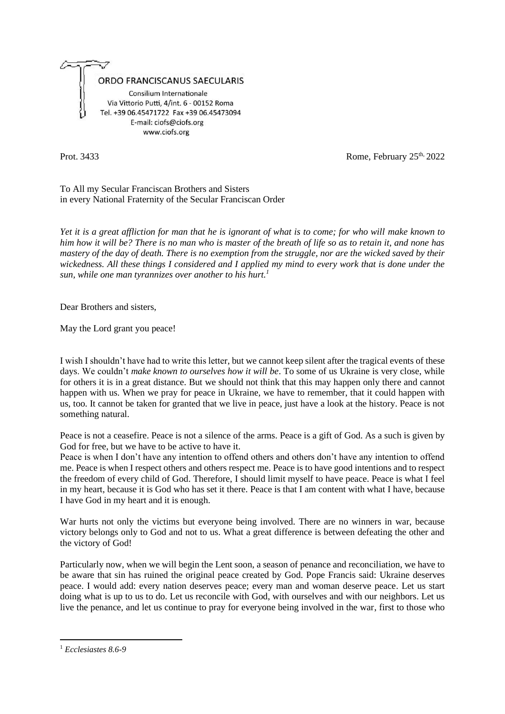

Prot. 3433 Rome, February 25<sup>th,</sup> 2022

To All my Secular Franciscan Brothers and Sisters in every National Fraternity of the Secular Franciscan Order

*Yet it is a great affliction for man that he is ignorant of what is to come; for who will make known to him how it will be? There is no man who is master of the breath of life so as to retain it, and none has mastery of the day of death. There is no exemption from the struggle, nor are the wicked saved by their wickedness. All these things I considered and I applied my mind to every work that is done under the sun, while one man tyrannizes over another to his hurt.<sup>1</sup>*

Dear Brothers and sisters,

May the Lord grant you peace!

I wish I shouldn't have had to write this letter, but we cannot keep silent after the tragical events of these days. We couldn't *make known to ourselves how it will be*. To some of us Ukraine is very close, while for others it is in a great distance. But we should not think that this may happen only there and cannot happen with us. When we pray for peace in Ukraine, we have to remember, that it could happen with us, too. It cannot be taken for granted that we live in peace, just have a look at the history. Peace is not something natural.

Peace is not a ceasefire. Peace is not a silence of the arms. Peace is a gift of God. As a such is given by God for free, but we have to be active to have it.

Peace is when I don't have any intention to offend others and others don't have any intention to offend me. Peace is when I respect others and others respect me. Peace is to have good intentions and to respect the freedom of every child of God. Therefore, I should limit myself to have peace. Peace is what I feel in my heart, because it is God who has set it there. Peace is that I am content with what I have, because I have God in my heart and it is enough.

War hurts not only the victims but everyone being involved. There are no winners in war, because victory belongs only to God and not to us. What a great difference is between defeating the other and the victory of God!

Particularly now, when we will begin the Lent soon, a season of penance and reconciliation, we have to be aware that sin has ruined the original peace created by God. Pope Francis said: Ukraine deserves peace. I would add: every nation deserves peace; every man and woman deserve peace. Let us start doing what is up to us to do. Let us reconcile with God, with ourselves and with our neighbors. Let us live the penance, and let us continue to pray for everyone being involved in the war, first to those who

<sup>1</sup> *Ecclesiastes 8.6-9*